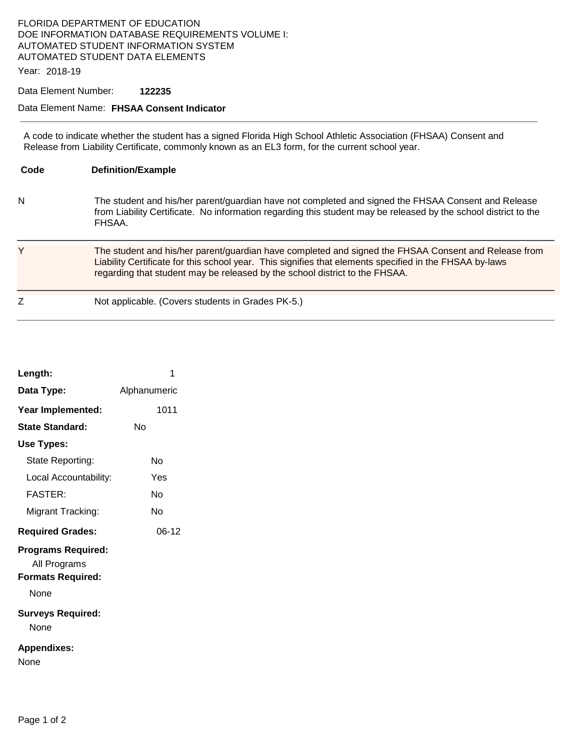## FLORIDA DEPARTMENT OF EDUCATION DOE INFORMATION DATABASE REQUIREMENTS VOLUME I: AUTOMATED STUDENT INFORMATION SYSTEM AUTOMATED STUDENT DATA ELEMENTS

Year: 2018-19

## Data Element Number: **122235**

## Data Element Name: **FHSAA Consent Indicator**

A code to indicate whether the student has a signed Florida High School Athletic Association (FHSAA) Consent and Release from Liability Certificate, commonly known as an EL3 form, for the current school year.

| Code | <b>Definition/Example</b>                                                                                                                                                                                                                                                                      |
|------|------------------------------------------------------------------------------------------------------------------------------------------------------------------------------------------------------------------------------------------------------------------------------------------------|
| N    | The student and his/her parent/guardian have not completed and signed the FHSAA Consent and Release<br>from Liability Certificate. No information regarding this student may be released by the school district to the<br>FHSAA.                                                               |
| Y    | The student and his/her parent/guardian have completed and signed the FHSAA Consent and Release from<br>Liability Certificate for this school year. This signifies that elements specified in the FHSAA by-laws<br>regarding that student may be released by the school district to the FHSAA. |
|      | Not applicable. (Covers students in Grades PK-5.)                                                                                                                                                                                                                                              |

| Length:                                                                       | 1            |  |
|-------------------------------------------------------------------------------|--------------|--|
| Data Type:                                                                    | Alphanumeric |  |
| Year Implemented:                                                             | 1011         |  |
| <b>State Standard:</b>                                                        | N٥           |  |
| Use Types:                                                                    |              |  |
| State Reporting:                                                              | N٥           |  |
| Local Accountability:                                                         | Yes          |  |
| <b>FASTER:</b>                                                                | N٥           |  |
| Migrant Tracking:                                                             | N٥           |  |
| <b>Required Grades:</b>                                                       | 06-12        |  |
| <b>Programs Required:</b><br>All Programs<br><b>Formats Required:</b><br>None |              |  |
|                                                                               |              |  |
| <b>Surveys Required:</b><br>None                                              |              |  |
| <b>Appendixes:</b><br>None                                                    |              |  |